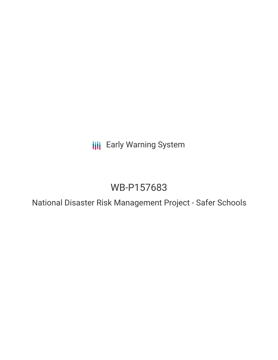**III** Early Warning System

# WB-P157683

National Disaster Risk Management Project - Safer Schools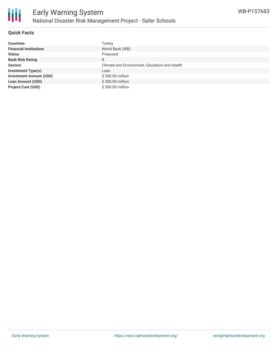

### **Quick Facts**

| <b>Countries</b>               | Turkev                                        |
|--------------------------------|-----------------------------------------------|
| <b>Financial Institutions</b>  | World Bank (WB)                               |
| <b>Status</b>                  | Proposed                                      |
| <b>Bank Risk Rating</b>        | B                                             |
| <b>Sectors</b>                 | Climate and Environment, Education and Health |
| <b>Investment Type(s)</b>      | Loan                                          |
| <b>Investment Amount (USD)</b> | \$300.00 million                              |
| <b>Loan Amount (USD)</b>       | \$300.00 million                              |
| <b>Project Cost (USD)</b>      | \$300,00 million                              |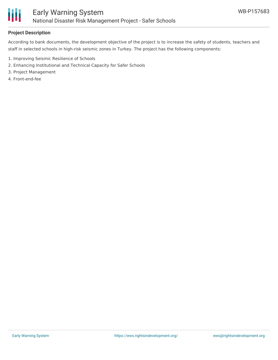

## **Project Description**

According to bank documents, the development objective of the project is to increase the safety of students, teachers and staff in selected schools in high-risk seismic zones in Turkey. The project has the following components:

- 1. Improving Seismic Resilience of Schools
- 2. Enhancing Institutional and Technical Capacity for Safer Schools
- 3. Project Management
- 4. Front-end-fee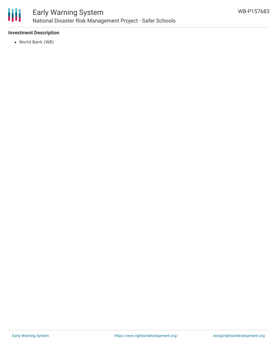

#### **Investment Description**

World Bank (WB)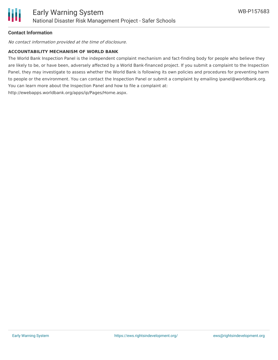

#### **Contact Information**

No contact information provided at the time of disclosure.

#### **ACCOUNTABILITY MECHANISM OF WORLD BANK**

The World Bank Inspection Panel is the independent complaint mechanism and fact-finding body for people who believe they are likely to be, or have been, adversely affected by a World Bank-financed project. If you submit a complaint to the Inspection Panel, they may investigate to assess whether the World Bank is following its own policies and procedures for preventing harm to people or the environment. You can contact the Inspection Panel or submit a complaint by emailing ipanel@worldbank.org. You can learn more about the Inspection Panel and how to file a complaint at: http://ewebapps.worldbank.org/apps/ip/Pages/Home.aspx.